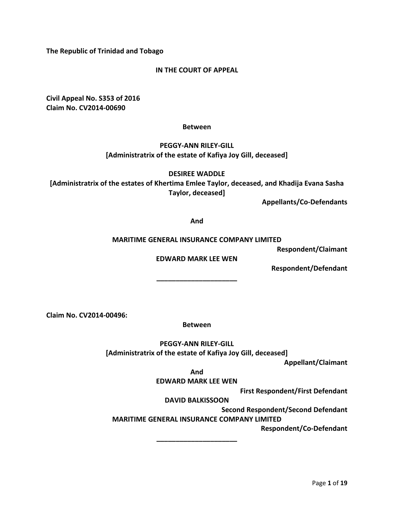**The Republic of Trinidad and Tobago** 

# **IN THE COURT OF APPEAL**

**Civil Appeal No. S353 of 2016 Claim No. CV2014-00690**

### **Between**

# **PEGGY-ANN RILEY-GILL [Administratrix of the estate of Kafiya Joy Gill, deceased]**

**DESIREE WADDLE**

**[Administratrix of the estates of Khertima Emlee Taylor, deceased, and Khadija Evana Sasha Taylor, deceased]**

**Appellants/Co-Defendants** 

**And**

#### **MARITIME GENERAL INSURANCE COMPANY LIMITED**

**Respondent/Claimant**

**EDWARD MARK LEE WEN**

**\_\_\_\_\_\_\_\_\_\_\_\_\_\_\_\_\_\_\_\_\_**

**Respondent/Defendant** 

**Claim No. CV2014-00496:**

**Between**

**PEGGY-ANN RILEY-GILL**

**[Administratrix of the estate of Kafiya Joy Gill, deceased]**

**Appellant/Claimant**

**And**

**EDWARD MARK LEE WEN**

**First Respondent/First Defendant**

**DAVID BALKISSOON**

**Second Respondent/Second Defendant**

**MARITIME GENERAL INSURANCE COMPANY LIMITED**

**Respondent/Co-Defendant**

**\_\_\_\_\_\_\_\_\_\_\_\_\_\_\_\_\_\_\_\_\_**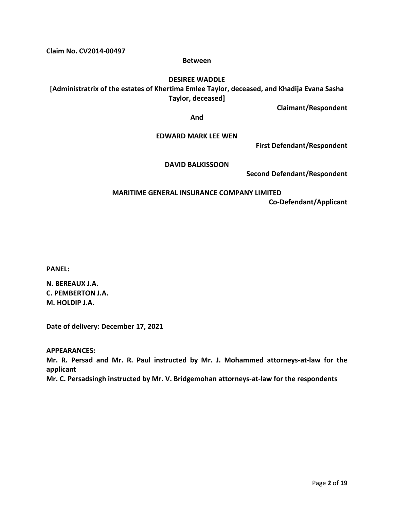**Claim No. CV2014-00497**

#### **Between**

## **DESIREE WADDLE**

**[Administratrix of the estates of Khertima Emlee Taylor, deceased, and Khadija Evana Sasha Taylor, deceased]**

**Claimant/Respondent**

**And**

### **EDWARD MARK LEE WEN**

**First Defendant/Respondent**

### **DAVID BALKISSOON**

**Second Defendant/Respondent**

# **MARITIME GENERAL INSURANCE COMPANY LIMITED Co-Defendant/Applicant**

**PANEL:** 

**N. BEREAUX J.A. C. PEMBERTON J.A. M. HOLDIP J.A.** 

**Date of delivery: December 17, 2021**

**APPEARANCES:** 

**Mr. R. Persad and Mr. R. Paul instructed by Mr. J. Mohammed attorneys-at-law for the applicant**

**Mr. C. Persadsingh instructed by Mr. V. Bridgemohan attorneys-at-law for the respondents**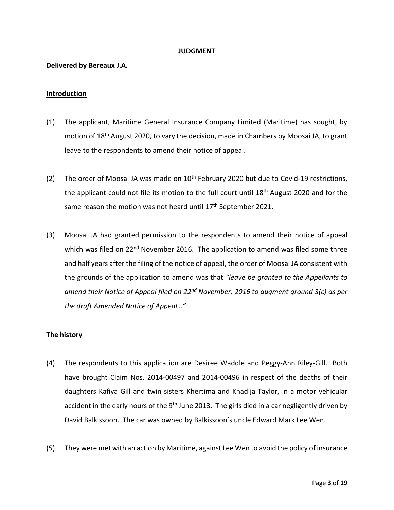### **JUDGMENT**

# **Delivered by Bereaux J.A.**

# **Introduction**

- (1) The applicant, Maritime General Insurance Company Limited (Maritime) has sought, by motion of 18th August 2020, to vary the decision, made in Chambers by Moosai JA, to grant leave to the respondents to amend their notice of appeal.
- (2) The order of Moosai JA was made on  $10^{th}$  February 2020 but due to Covid-19 restrictions, the applicant could not file its motion to the full court until 18<sup>th</sup> August 2020 and for the same reason the motion was not heard until  $17<sup>th</sup>$  September 2021.
- (3) Moosai JA had granted permission to the respondents to amend their notice of appeal which was filed on 22<sup>nd</sup> November 2016. The application to amend was filed some three and half years after the filing of the notice of appeal, the order of Moosai JA consistent with the grounds of the application to amend was that *"leave be granted to the Appellants to amend their Notice of Appeal filed on 22nd November, 2016 to augment ground 3(c) as per the draft Amended Notice of Appeal…"*

### **The history**

- (4) The respondents to this application are Desiree Waddle and Peggy-Ann Riley-Gill. Both have brought Claim Nos. 2014-00497 and 2014-00496 in respect of the deaths of their daughters Kafiya Gill and twin sisters Khertima and Khadija Taylor, in a motor vehicular accident in the early hours of the 9<sup>th</sup> June 2013. The girls died in a car negligently driven by David Balkissoon. The car was owned by Balkissoon's uncle Edward Mark Lee Wen.
- (5) They were met with an action by Maritime, against Lee Wen to avoid the policy of insurance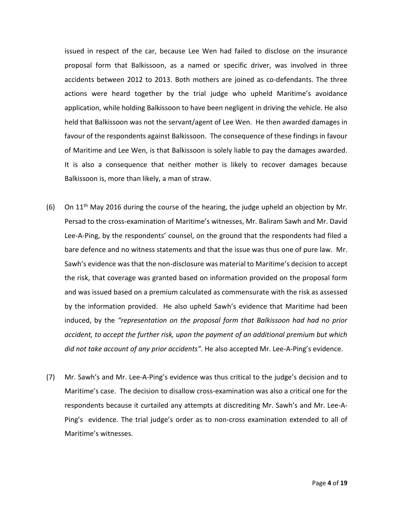issued in respect of the car, because Lee Wen had failed to disclose on the insurance proposal form that Balkissoon, as a named or specific driver, was involved in three accidents between 2012 to 2013. Both mothers are joined as co-defendants. The three actions were heard together by the trial judge who upheld Maritime's avoidance application, while holding Balkissoon to have been negligent in driving the vehicle. He also held that Balkissoon was not the servant/agent of Lee Wen. He then awarded damages in favour of the respondents against Balkissoon. The consequence of these findings in favour of Maritime and Lee Wen, is that Balkissoon is solely liable to pay the damages awarded. It is also a consequence that neither mother is likely to recover damages because Balkissoon is, more than likely, a man of straw.

- (6) On  $11<sup>th</sup>$  May 2016 during the course of the hearing, the judge upheld an objection by Mr. Persad to the cross-examination of Maritime's witnesses, Mr. Baliram Sawh and Mr. David Lee-A-Ping, by the respondents' counsel, on the ground that the respondents had filed a bare defence and no witness statements and that the issue was thus one of pure law. Mr. Sawh's evidence was that the non-disclosure was material to Maritime's decision to accept the risk, that coverage was granted based on information provided on the proposal form and was issued based on a premium calculated as commensurate with the risk as assessed by the information provided. He also upheld Sawh's evidence that Maritime had been induced, by the *"representation on the proposal form that Balkissoon had had no prior accident, to accept the further risk, upon the payment of an additional premium but which did not take account of any prior accidents"*. He also accepted Mr. Lee-A-Ping's evidence.
- (7) Mr. Sawh's and Mr. Lee-A-Ping's evidence was thus critical to the judge's decision and to Maritime's case. The decision to disallow cross-examination was also a critical one for the respondents because it curtailed any attempts at discrediting Mr. Sawh's and Mr. Lee-A-Ping's evidence. The trial judge's order as to non-cross examination extended to all of Maritime's witnesses.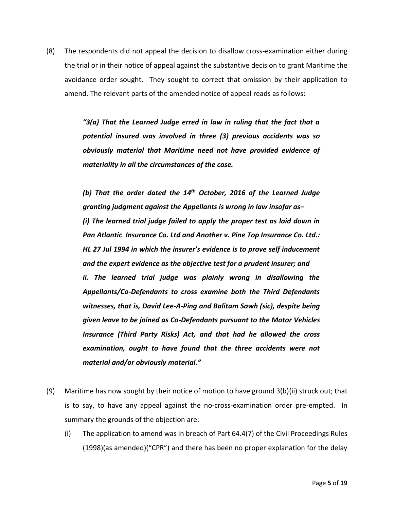(8) The respondents did not appeal the decision to disallow cross-examination either during the trial or in their notice of appeal against the substantive decision to grant Maritime the avoidance order sought. They sought to correct that omission by their application to amend. The relevant parts of the amended notice of appeal reads as follows:

> *"3(a) That the Learned Judge erred in law in ruling that the fact that a potential insured was involved in three (3) previous accidents was so obviously material that Maritime need not have provided evidence of materiality in all the circumstances of the case.*

> *(b) That the order dated the 14th October, 2016 of the Learned Judge granting judgment against the Appellants is wrong in law insofar as– (i) The learned trial judge failed to apply the proper test as laid down in Pan Atlantic Insurance Co. Ltd and Another v. Pine Top Insurance Co. Ltd.: HL 27 Jul 1994 in which the insurer's evidence is to prove self inducement and the expert evidence as the objective test for a prudent insurer; and ii. The learned trial judge was plainly wrong in disallowing the Appellants/Co-Defendants to cross examine both the Third Defendants witnesses, that is, David Lee-A-Ping and Balitam Sawh (sic), despite being given leave to be joined as Co-Defendants pursuant to the Motor Vehicles Insurance (Third Party Risks) Act, and that had he allowed the cross examination, ought to have found that the three accidents were not material and/or obviously material."*

- (9) Maritime has now sought by their notice of motion to have ground 3(b)(ii) struck out; that is to say, to have any appeal against the no-cross-examination order pre-empted. In summary the grounds of the objection are:
	- (i) The application to amend was in breach of Part 64.4(7) of the Civil Proceedings Rules (1998)(as amended)("CPR") and there has been no proper explanation for the delay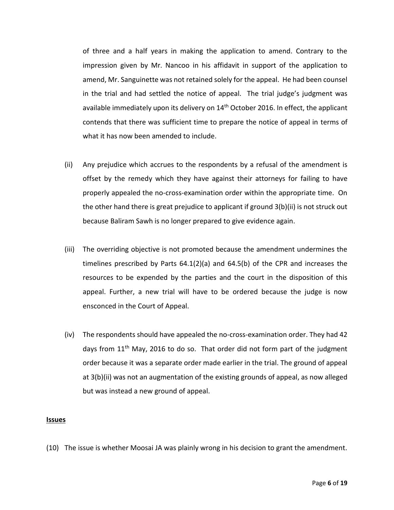of three and a half years in making the application to amend. Contrary to the impression given by Mr. Nancoo in his affidavit in support of the application to amend, Mr. Sanguinette was not retained solely for the appeal. He had been counsel in the trial and had settled the notice of appeal. The trial judge's judgment was available immediately upon its delivery on  $14<sup>th</sup>$  October 2016. In effect, the applicant contends that there was sufficient time to prepare the notice of appeal in terms of what it has now been amended to include.

- (ii) Any prejudice which accrues to the respondents by a refusal of the amendment is offset by the remedy which they have against their attorneys for failing to have properly appealed the no-cross-examination order within the appropriate time. On the other hand there is great prejudice to applicant if ground 3(b)(ii) is not struck out because Baliram Sawh is no longer prepared to give evidence again.
- (iii) The overriding objective is not promoted because the amendment undermines the timelines prescribed by Parts 64.1(2)(a) and 64.5(b) of the CPR and increases the resources to be expended by the parties and the court in the disposition of this appeal. Further, a new trial will have to be ordered because the judge is now ensconced in the Court of Appeal.
- (iv) The respondents should have appealed the no-cross-examination order. They had 42 days from  $11<sup>th</sup>$  May, 2016 to do so. That order did not form part of the judgment order because it was a separate order made earlier in the trial. The ground of appeal at 3(b)(ii) was not an augmentation of the existing grounds of appeal, as now alleged but was instead a new ground of appeal.

#### **Issues**

(10) The issue is whether Moosai JA was plainly wrong in his decision to grant the amendment.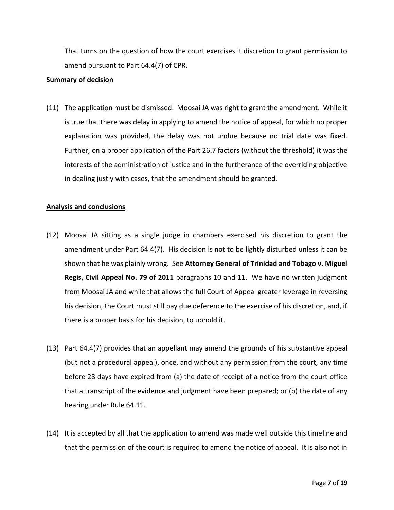That turns on the question of how the court exercises it discretion to grant permission to amend pursuant to Part 64.4(7) of CPR.

#### **Summary of decision**

(11) The application must be dismissed. Moosai JA was right to grant the amendment. While it is true that there was delay in applying to amend the notice of appeal, for which no proper explanation was provided, the delay was not undue because no trial date was fixed. Further, on a proper application of the Part 26.7 factors (without the threshold) it was the interests of the administration of justice and in the furtherance of the overriding objective in dealing justly with cases, that the amendment should be granted.

#### **Analysis and conclusions**

- (12) Moosai JA sitting as a single judge in chambers exercised his discretion to grant the amendment under Part 64.4(7). His decision is not to be lightly disturbed unless it can be shown that he was plainly wrong. See **Attorney General of Trinidad and Tobago v. Miguel Regis, Civil Appeal No. 79 of 2011** paragraphs 10 and 11. We have no written judgment from Moosai JA and while that allows the full Court of Appeal greater leverage in reversing his decision, the Court must still pay due deference to the exercise of his discretion, and, if there is a proper basis for his decision, to uphold it.
- (13) Part 64.4(7) provides that an appellant may amend the grounds of his substantive appeal (but not a procedural appeal), once, and without any permission from the court, any time before 28 days have expired from (a) the date of receipt of a notice from the court office that a transcript of the evidence and judgment have been prepared; or (b) the date of any hearing under Rule 64.11.
- (14) It is accepted by all that the application to amend was made well outside this timeline and that the permission of the court is required to amend the notice of appeal. It is also not in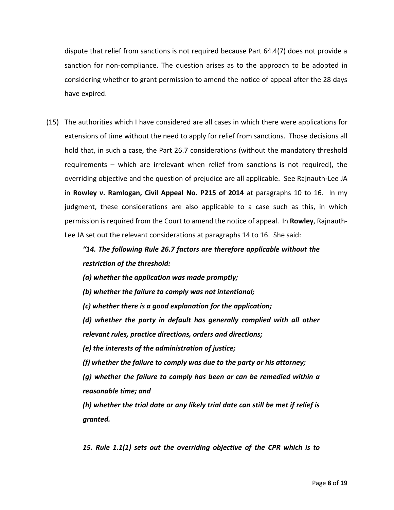dispute that relief from sanctions is not required because Part 64.4(7) does not provide a sanction for non-compliance. The question arises as to the approach to be adopted in considering whether to grant permission to amend the notice of appeal after the 28 days have expired.

(15) The authorities which I have considered are all cases in which there were applications for extensions of time without the need to apply for relief from sanctions. Those decisions all hold that, in such a case, the Part 26.7 considerations (without the mandatory threshold requirements – which are irrelevant when relief from sanctions is not required), the overriding objective and the question of prejudice are all applicable. See Rajnauth-Lee JA in **Rowley v. Ramlogan, Civil Appeal No. P215 of 2014** at paragraphs 10 to 16. In my judgment, these considerations are also applicable to a case such as this, in which permission is required from the Court to amend the notice of appeal. In **Rowley**, Rajnauth-Lee JA set out the relevant considerations at paragraphs 14 to 16. She said:

> *"14. The following Rule 26.7 factors are therefore applicable without the restriction of the threshold:*

*(a) whether the application was made promptly;* 

*(b) whether the failure to comply was not intentional;* 

*(c) whether there is a good explanation for the application;* 

*(d) whether the party in default has generally complied with all other relevant rules, practice directions, orders and directions;* 

*(e) the interests of the administration of justice;* 

*(f) whether the failure to comply was due to the party or his attorney;* 

*(g) whether the failure to comply has been or can be remedied within a reasonable time; and* 

*(h) whether the trial date or any likely trial date can still be met if relief is granted.* 

*15. Rule 1.1(1) sets out the overriding objective of the CPR which is to*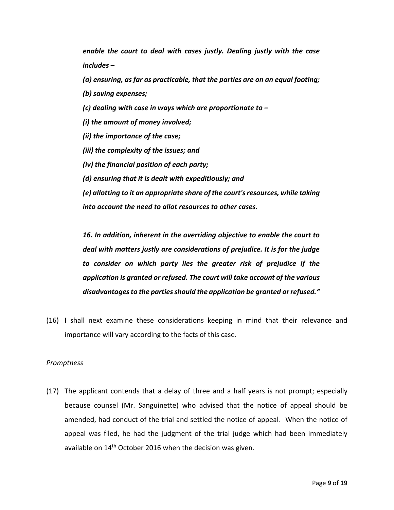*enable the court to deal with cases justly. Dealing justly with the case includes –*

*(a) ensuring, as far as practicable, that the parties are on an equal footing;* 

*(b) saving expenses;* 

*(c) dealing with case in ways which are proportionate to –*

*(i) the amount of money involved;*

*(ii) the importance of the case;* 

*(iii) the complexity of the issues; and* 

*(iv) the financial position of each party;* 

*(d) ensuring that it is dealt with expeditiously; and* 

*(e) allotting to it an appropriate share of the court's resources, while taking into account the need to allot resources to other cases.* 

*16. In addition, inherent in the overriding objective to enable the court to deal with matters justly are considerations of prejudice. It is for the judge to consider on which party lies the greater risk of prejudice if the application is granted or refused. The court will take account of the various disadvantages to the parties should the application be granted or refused."*

(16) I shall next examine these considerations keeping in mind that their relevance and importance will vary according to the facts of this case.

### *Promptness*

(17) The applicant contends that a delay of three and a half years is not prompt; especially because counsel (Mr. Sanguinette) who advised that the notice of appeal should be amended, had conduct of the trial and settled the notice of appeal. When the notice of appeal was filed, he had the judgment of the trial judge which had been immediately available on 14<sup>th</sup> October 2016 when the decision was given.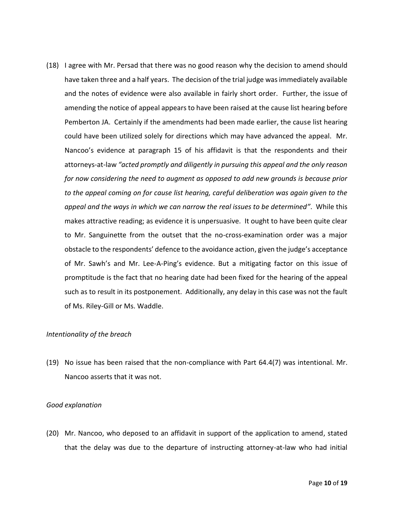(18) I agree with Mr. Persad that there was no good reason why the decision to amend should have taken three and a half years. The decision of the trial judge was immediately available and the notes of evidence were also available in fairly short order. Further, the issue of amending the notice of appeal appears to have been raised at the cause list hearing before Pemberton JA. Certainly if the amendments had been made earlier, the cause list hearing could have been utilized solely for directions which may have advanced the appeal. Mr. Nancoo's evidence at paragraph 15 of his affidavit is that the respondents and their attorneys-at-law *"acted promptly and diligently in pursuing this appeal and the only reason for now considering the need to augment as opposed to add new grounds is because prior to the appeal coming on for cause list hearing, careful deliberation was again given to the appeal and the ways in which we can narrow the real issues to be determined"*. While this makes attractive reading; as evidence it is unpersuasive. It ought to have been quite clear to Mr. Sanguinette from the outset that the no-cross-examination order was a major obstacle to the respondents' defence to the avoidance action, given the judge's acceptance of Mr. Sawh's and Mr. Lee-A-Ping's evidence. But a mitigating factor on this issue of promptitude is the fact that no hearing date had been fixed for the hearing of the appeal such as to result in its postponement. Additionally, any delay in this case was not the fault of Ms. Riley-Gill or Ms. Waddle.

### *Intentionality of the breach*

(19) No issue has been raised that the non-compliance with Part 64.4(7) was intentional. Mr. Nancoo asserts that it was not.

## *Good explanation*

(20) Mr. Nancoo, who deposed to an affidavit in support of the application to amend, stated that the delay was due to the departure of instructing attorney-at-law who had initial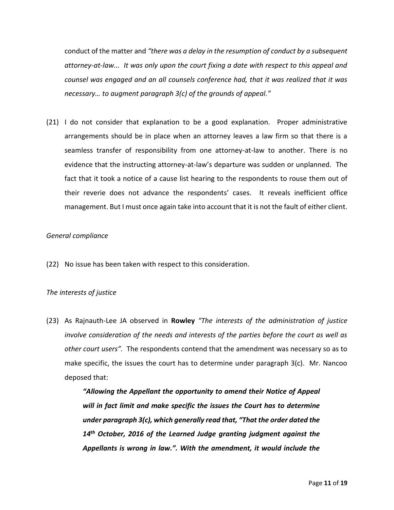conduct of the matter and *"there was a delay in the resumption of conduct by a subsequent attorney-at-law... It was only upon the court fixing a date with respect to this appeal and counsel was engaged and an all counsels conference had, that it was realized that it was necessary… to augment paragraph 3(c) of the grounds of appeal."*

(21) I do not consider that explanation to be a good explanation. Proper administrative arrangements should be in place when an attorney leaves a law firm so that there is a seamless transfer of responsibility from one attorney-at-law to another. There is no evidence that the instructing attorney-at-law's departure was sudden or unplanned. The fact that it took a notice of a cause list hearing to the respondents to rouse them out of their reverie does not advance the respondents' cases. It reveals inefficient office management. But I must once again take into account that it is not the fault of either client.

# *General compliance*

(22) No issue has been taken with respect to this consideration.

# *The interests of justice*

(23) As Rajnauth-Lee JA observed in **Rowley** *"The interests of the administration of justice involve consideration of the needs and interests of the parties before the court as well as other court users".* The respondents contend that the amendment was necessary so as to make specific, the issues the court has to determine under paragraph 3(c). Mr. Nancoo deposed that:

> *"Allowing the Appellant the opportunity to amend their Notice of Appeal will in fact limit and make specific the issues the Court has to determine under paragraph 3(c), which generally read that, "That the order dated the 14 th October, 2016 of the Learned Judge granting judgment against the Appellants is wrong in law.". With the amendment, it would include the*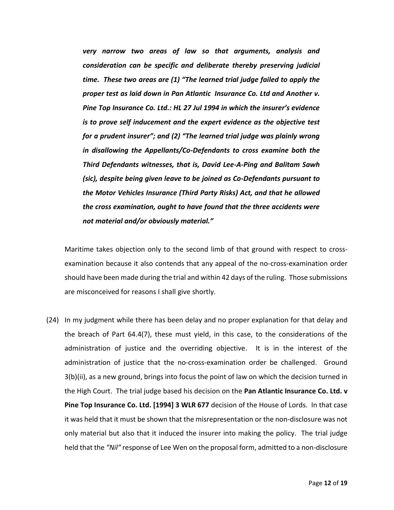*very narrow two areas of law so that arguments, analysis and consideration can be specific and deliberate thereby preserving judicial time. These two areas are (1) "The learned trial judge failed to apply the proper test as laid down in Pan Atlantic Insurance Co. Ltd and Another v. Pine Top Insurance Co. Ltd.: HL 27 Jul 1994 in which the insurer's evidence is to prove self inducement and the expert evidence as the objective test for a prudent insurer"; and (2) "The learned trial judge was plainly wrong in disallowing the Appellants/Co-Defendants to cross examine both the Third Defendants witnesses, that is, David Lee-A-Ping and Balitam Sawh (sic), despite being given leave to be joined as Co-Defendants pursuant to the Motor Vehicles Insurance (Third Party Risks) Act, and that he allowed the cross examination, ought to have found that the three accidents were not material and/or obviously material."*

Maritime takes objection only to the second limb of that ground with respect to crossexamination because it also contends that any appeal of the no-cross-examination order should have been made during the trial and within 42 days of the ruling. Those submissions are misconceived for reasons I shall give shortly.

(24) In my judgment while there has been delay and no proper explanation for that delay and the breach of Part 64.4(7), these must yield, in this case, to the considerations of the administration of justice and the overriding objective. It is in the interest of the administration of justice that the no-cross-examination order be challenged. Ground 3(b)(ii), as a new ground, brings into focus the point of law on which the decision turned in the High Court. The trial judge based his decision on the **Pan Atlantic Insurance Co. Ltd. v Pine Top Insurance Co. Ltd. [1994] 3 WLR 677** decision of the House of Lords. In that case it was held that it must be shown that the misrepresentation or the non-disclosure was not only material but also that it induced the insurer into making the policy. The trial judge held that the *"Nil"* response of Lee Wen on the proposal form, admitted to a non-disclosure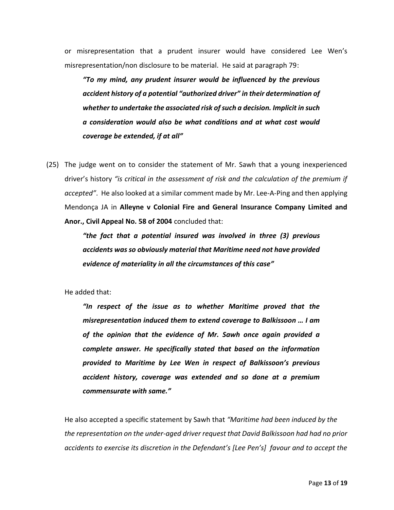or misrepresentation that a prudent insurer would have considered Lee Wen's misrepresentation/non disclosure to be material. He said at paragraph 79:

*"To my mind, any prudent insurer would be influenced by the previous accident history of a potential "authorized driver" in their determination of whether to undertake the associated risk of such a decision. Implicit in such a consideration would also be what conditions and at what cost would coverage be extended, if at all"*

(25) The judge went on to consider the statement of Mr. Sawh that a young inexperienced driver's history *"is critical in the assessment of risk and the calculation of the premium if accepted"*. He also looked at a similar comment made by Mr. Lee-A-Ping and then applying Mendonça JA in **Alleyne v Colonial Fire and General Insurance Company Limited and Anor., Civil Appeal No. 58 of 2004** concluded that:

> *"the fact that a potential insured was involved in three (3) previous accidents was so obviously material that Maritime need not have provided evidence of materiality in all the circumstances of this case"*

He added that:

*"In respect of the issue as to whether Maritime proved that the misrepresentation induced them to extend coverage to Balkissoon … I am of the opinion that the evidence of Mr. Sawh once again provided a complete answer. He specifically stated that based on the information provided to Maritime by Lee Wen in respect of Balkissoon's previous accident history, coverage was extended and so done at a premium commensurate with same."*

He also accepted a specific statement by Sawh that *"Maritime had been induced by the the representation on the under-aged driver request that David Balkissoon had had no prior accidents to exercise its discretion in the Defendant's [Lee Pen's] favour and to accept the*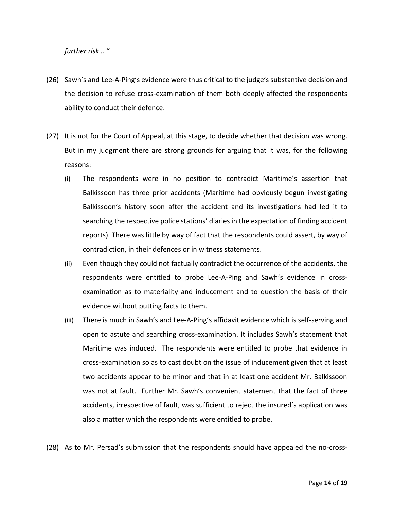*further risk …"*

- (26) Sawh's and Lee-A-Ping's evidence were thus critical to the judge's substantive decision and the decision to refuse cross-examination of them both deeply affected the respondents ability to conduct their defence.
- (27) It is not for the Court of Appeal, at this stage, to decide whether that decision was wrong. But in my judgment there are strong grounds for arguing that it was, for the following reasons:
	- (i) The respondents were in no position to contradict Maritime's assertion that Balkissoon has three prior accidents (Maritime had obviously begun investigating Balkissoon's history soon after the accident and its investigations had led it to searching the respective police stations' diaries in the expectation of finding accident reports). There was little by way of fact that the respondents could assert, by way of contradiction, in their defences or in witness statements.
	- (ii) Even though they could not factually contradict the occurrence of the accidents, the respondents were entitled to probe Lee-A-Ping and Sawh's evidence in crossexamination as to materiality and inducement and to question the basis of their evidence without putting facts to them.
	- (iii) There is much in Sawh's and Lee-A-Ping's affidavit evidence which is self-serving and open to astute and searching cross-examination. It includes Sawh's statement that Maritime was induced. The respondents were entitled to probe that evidence in cross-examination so as to cast doubt on the issue of inducement given that at least two accidents appear to be minor and that in at least one accident Mr. Balkissoon was not at fault. Further Mr. Sawh's convenient statement that the fact of three accidents, irrespective of fault, was sufficient to reject the insured's application was also a matter which the respondents were entitled to probe.
- (28) As to Mr. Persad's submission that the respondents should have appealed the no-cross-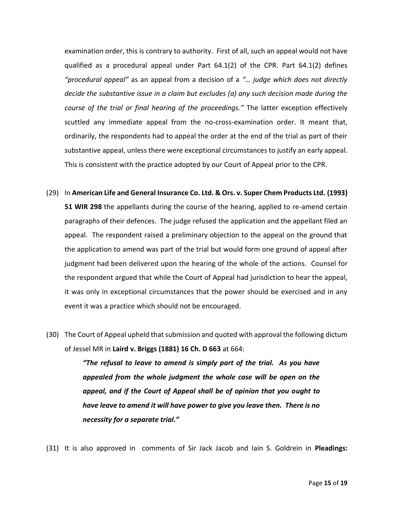examination order, this is contrary to authority. First of all, such an appeal would not have qualified as a procedural appeal under Part 64.1(2) of the CPR. Part 64.1(2) defines *"procedural appeal"* as an appeal from a decision of a *"… judge which does not directly decide the substantive issue in a claim but excludes (a) any such decision made during the course of the trial or final hearing of the proceedings."* The latter exception effectively scuttled any immediate appeal from the no-cross-examination order. It meant that, ordinarily, the respondents had to appeal the order at the end of the trial as part of their substantive appeal, unless there were exceptional circumstances to justify an early appeal. This is consistent with the practice adopted by our Court of Appeal prior to the CPR.

- (29) In **American Life and General Insurance Co. Ltd. & Ors. v. Super Chem Products Ltd. (1993) 51 WIR 298** the appellants during the course of the hearing, applied to re-amend certain paragraphs of their defences. The judge refused the application and the appellant filed an appeal. The respondent raised a preliminary objection to the appeal on the ground that the application to amend was part of the trial but would form one ground of appeal after judgment had been delivered upon the hearing of the whole of the actions. Counsel for the respondent argued that while the Court of Appeal had jurisdiction to hear the appeal, it was only in exceptional circumstances that the power should be exercised and in any event it was a practice which should not be encouraged.
- (30) The Court of Appeal upheld that submission and quoted with approval the following dictum of Jessel MR in **Laird v. Briggs (1881) 16 Ch. D 663** at 664:

*"The refusal to leave to amend is simply part of the trial. As you have appealed from the whole judgment the whole case will be open on the appeal, and if the Court of Appeal shall be of opinion that you ought to have leave to amend it will have power to give you leave then. There is no necessity for a separate trial."*

(31) It is also approved in comments of Sir Jack Jacob and Iain S. Goldrein in **Pleadings:**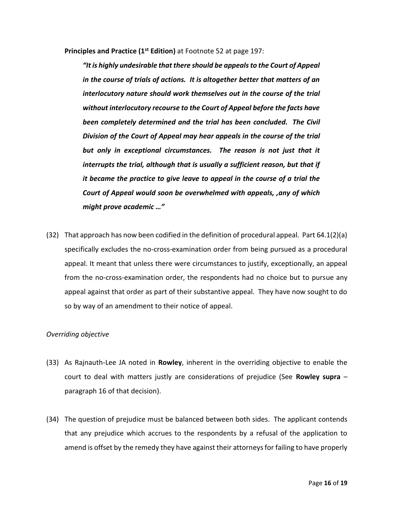**Principles and Practice (1st Edition)** at Footnote 52 at page 197:

*"It is highly undesirable that there should be appeals to the Court of Appeal in the course of trials of actions. It is altogether better that matters of an interlocutory nature should work themselves out in the course of the trial without interlocutory recourse to the Court of Appeal before the facts have been completely determined and the trial has been concluded. The Civil Division of the Court of Appeal may hear appeals in the course of the trial* but only in exceptional circumstances. The reason is not just that it *interrupts the trial, although that is usually a sufficient reason, but that if it became the practice to give leave to appeal in the course of a trial the Court of Appeal would soon be overwhelmed with appeals, ,any of which might prove academic …"*

(32) That approach has now been codified in the definition of procedural appeal. Part 64.1(2)(a) specifically excludes the no-cross-examination order from being pursued as a procedural appeal. It meant that unless there were circumstances to justify, exceptionally, an appeal from the no-cross-examination order, the respondents had no choice but to pursue any appeal against that order as part of their substantive appeal. They have now sought to do so by way of an amendment to their notice of appeal.

## *Overriding objective*

- (33) As Rajnauth-Lee JA noted in **Rowley**, inherent in the overriding objective to enable the court to deal with matters justly are considerations of prejudice (See **Rowley supra** – paragraph 16 of that decision).
- (34) The question of prejudice must be balanced between both sides. The applicant contends that any prejudice which accrues to the respondents by a refusal of the application to amend is offset by the remedy they have against their attorneys for failing to have properly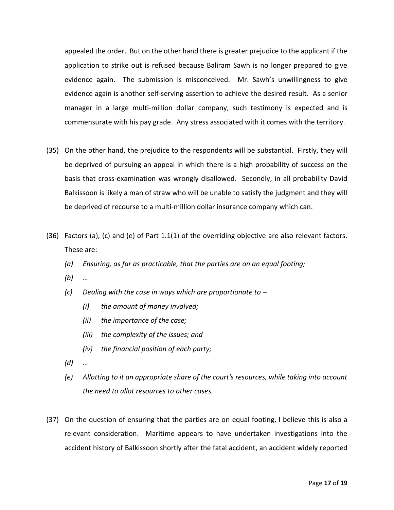appealed the order. But on the other hand there is greater prejudice to the applicant if the application to strike out is refused because Baliram Sawh is no longer prepared to give evidence again. The submission is misconceived. Mr. Sawh's unwillingness to give evidence again is another self-serving assertion to achieve the desired result. As a senior manager in a large multi-million dollar company, such testimony is expected and is commensurate with his pay grade. Any stress associated with it comes with the territory.

- (35) On the other hand, the prejudice to the respondents will be substantial. Firstly, they will be deprived of pursuing an appeal in which there is a high probability of success on the basis that cross-examination was wrongly disallowed. Secondly, in all probability David Balkissoon is likely a man of straw who will be unable to satisfy the judgment and they will be deprived of recourse to a multi-million dollar insurance company which can.
- (36) Factors (a), (c) and (e) of Part 1.1(1) of the overriding objective are also relevant factors. These are:
	- *(a) Ensuring, as far as practicable, that the parties are on an equal footing;*
	- *(b) …*
	- *(c) Dealing with the case in ways which are proportionate to –*
		- *(i) the amount of money involved;*
		- *(ii) the importance of the case;*
		- *(iii) the complexity of the issues; and*
		- *(iv) the financial position of each party;*
	- *(d) …*
	- *(e) Allotting to it an appropriate share of the court's resources, while taking into account the need to allot resources to other cases.*
- (37) On the question of ensuring that the parties are on equal footing, I believe this is also a relevant consideration. Maritime appears to have undertaken investigations into the accident history of Balkissoon shortly after the fatal accident, an accident widely reported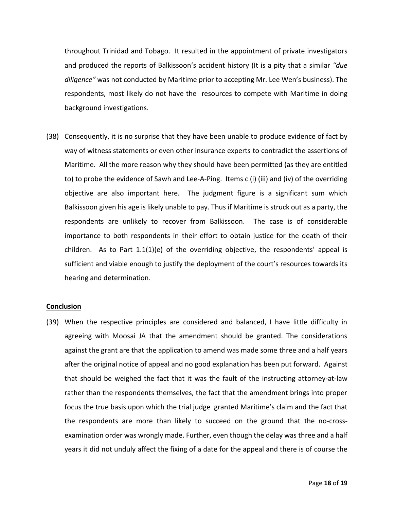throughout Trinidad and Tobago. It resulted in the appointment of private investigators and produced the reports of Balkissoon's accident history (It is a pity that a similar *"due diligence"* was not conducted by Maritime prior to accepting Mr. Lee Wen's business). The respondents, most likely do not have the resources to compete with Maritime in doing background investigations.

(38) Consequently, it is no surprise that they have been unable to produce evidence of fact by way of witness statements or even other insurance experts to contradict the assertions of Maritime. All the more reason why they should have been permitted (as they are entitled to) to probe the evidence of Sawh and Lee-A-Ping. Items c (i) (iii) and (iv) of the overriding objective are also important here. The judgment figure is a significant sum which Balkissoon given his age is likely unable to pay. Thus if Maritime is struck out as a party, the respondents are unlikely to recover from Balkissoon. The case is of considerable importance to both respondents in their effort to obtain justice for the death of their children. As to Part  $1.1(1)(e)$  of the overriding objective, the respondents' appeal is sufficient and viable enough to justify the deployment of the court's resources towards its hearing and determination.

### **Conclusion**

(39) When the respective principles are considered and balanced, I have little difficulty in agreeing with Moosai JA that the amendment should be granted. The considerations against the grant are that the application to amend was made some three and a half years after the original notice of appeal and no good explanation has been put forward. Against that should be weighed the fact that it was the fault of the instructing attorney-at-law rather than the respondents themselves, the fact that the amendment brings into proper focus the true basis upon which the trial judge granted Maritime's claim and the fact that the respondents are more than likely to succeed on the ground that the no-crossexamination order was wrongly made. Further, even though the delay was three and a half years it did not unduly affect the fixing of a date for the appeal and there is of course the